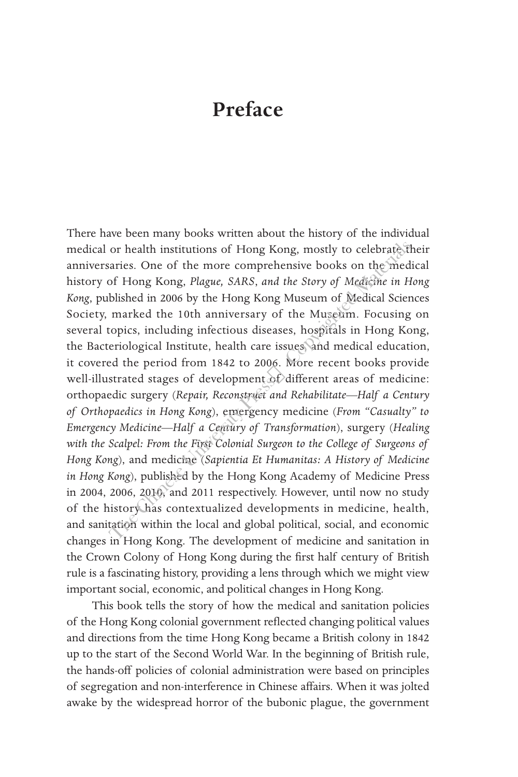## **Preface**

There have been many books written about the history of the individual medical or health institutions of Hong Kong, mostly to celebrate their anniversaries. One of the more comprehensive books on the medical history of Hong Kong, *Plague, SARS*, *and the Story of Medicine in Hong Kong*, published in 2006 by the Hong Kong Museum of Medical Sciences Society, marked the 10th anniversary of the Museum. Focusing on several topics, including infectious diseases, hospitals in Hong Kong, the Bacteriological Institute, health care issues, and medical education, it covered the period from 1842 to 2006. More recent books provide well-illustrated stages of development of different areas of medicine: orthopaedic surgery (*Repair, Reconstruct and Rehabilitate—Half a Century of Orthopaedics in Hong Kong*), emergency medicine (*From "Casualty" to Emergency Medicine—Half a Century of Transformation*), surgery (*Healing with the Scalpel: From the First Colonial Surgeon to the College of Surgeons of Hong Kong*), and medicine (*Sapientia Et Humanitas: A History of Medicine in Hong Kong*), published by the Hong Kong Academy of Medicine Press in 2004, 2006, 2010, and 2011 respectively. However, until now no study of the history has contextualized developments in medicine, health, and sanitation within the local and global political, social, and economic changes in Hong Kong. The development of medicine and sanitation in the Crown Colony of Hong Kong during the first half century of British rule is a fascinating history, providing a lens through which we might view important social, economic, and political changes in Hong Kong. or health institutions of Hong Kong, mostly to celebrate trains:<br>Come of the more comprehensive books on the med<br>of Hong Kong, *Plague, SARS, and the Story of Medicine in H*<br>blished in 2006 by the Hong Kong Museum of Medic

This book tells the story of how the medical and sanitation policies of the Hong Kong colonial government reflected changing political values and directions from the time Hong Kong became a British colony in 1842 up to the start of the Second World War. In the beginning of British rule, the hands-off policies of colonial administration were based on principles of segregation and non-interference in Chinese affairs. When it was jolted awake by the widespread horror of the bubonic plague, the government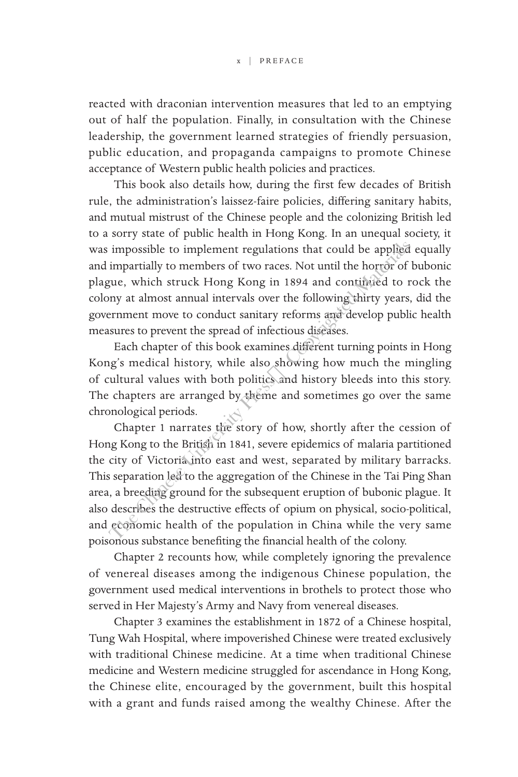reacted with draconian intervention measures that led to an emptying out of half the population. Finally, in consultation with the Chinese leadership, the government learned strategies of friendly persuasion, public education, and propaganda campaigns to promote Chinese acceptance of Western public health policies and practices.

This book also details how, during the first few decades of British rule, the administration's laissez-faire policies, differing sanitary habits, and mutual mistrust of the Chinese people and the colonizing British led to a sorry state of public health in Hong Kong. In an unequal society, it was impossible to implement regulations that could be applied equally and impartially to members of two races. Not until the horror of bubonic plague, which struck Hong Kong in 1894 and continued to rock the colony at almost annual intervals over the following thirty years, did the government move to conduct sanitary reforms and develop public health measures to prevent the spread of infectious diseases.

Each chapter of this book examines different turning points in Hong Kong's medical history, while also showing how much the mingling of cultural values with both politics and history bleeds into this story. The chapters are arranged by theme and sometimes go over the same chronological periods.

Chapter 1 narrates the story of how, shortly after the cession of Hong Kong to the British in 1841, severe epidemics of malaria partitioned the city of Victoria into east and west, separated by military barracks. This separation led to the aggregation of the Chinese in the Tai Ping Shan area, a breeding ground for the subsequent eruption of bubonic plague. It also describes the destructive effects of opium on physical, socio-political, and economic health of the population in China while the very same poisonous substance benefiting the financial health of the colony. impossible to implement regulations that could be applied<br>impartially to members of two races. Not until the horror of<br>que, which struck Hong Kong in 1894 and continued to r<br>or any at almost annual intervals over the follo

Chapter 2 recounts how, while completely ignoring the prevalence of venereal diseases among the indigenous Chinese population, the government used medical interventions in brothels to protect those who served in Her Majesty's Army and Navy from venereal diseases.

Chapter 3 examines the establishment in 1872 of a Chinese hospital, Tung Wah Hospital, where impoverished Chinese were treated exclusively with traditional Chinese medicine. At a time when traditional Chinese medicine and Western medicine struggled for ascendance in Hong Kong, the Chinese elite, encouraged by the government, built this hospital with a grant and funds raised among the wealthy Chinese. After the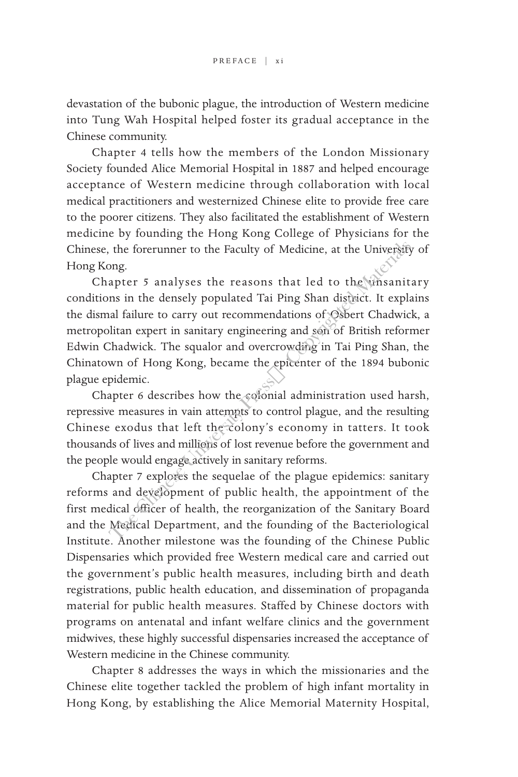devastation of the bubonic plague, the introduction of Western medicine into Tung Wah Hospital helped foster its gradual acceptance in the Chinese community.

Chapter 4 tells how the members of the London Missionary Society founded Alice Memorial Hospital in 1887 and helped encourage acceptance of Western medicine through collaboration with local medical practitioners and westernized Chinese elite to provide free care to the poorer citizens. They also facilitated the establishment of Western medicine by founding the Hong Kong College of Physicians for the Chinese, the forerunner to the Faculty of Medicine, at the University of Hong Kong.

Chapter 5 analyses the reasons that led to the unsanitary conditions in the densely populated Tai Ping Shan district. It explains the dismal failure to carry out recommendations of Osbert Chadwick, a metropolitan expert in sanitary engineering and son of British reformer Edwin Chadwick. The squalor and overcrowding in Tai Ping Shan, the Chinatown of Hong Kong, became the epicenter of the 1894 bubonic plague epidemic. the forerunner to the Faculty of Medicine, at the University<br>
ong.<br>
apter 5 analyses the reasons that led to the winsanit<br>
ms in the densely populated Tai Ping Shan district. It explains<br>
all failure to carry out recommen

Chapter 6 describes how the colonial administration used harsh, repressive measures in vain attempts to control plague, and the resulting Chinese exodus that left the colony's economy in tatters. It took thousands of lives and millions of lost revenue before the government and the people would engage actively in sanitary reforms.

Chapter 7 explores the sequelae of the plague epidemics: sanitary reforms and development of public health, the appointment of the first medical officer of health, the reorganization of the Sanitary Board and the Medical Department, and the founding of the Bacteriological Institute. Another milestone was the founding of the Chinese Public Dispensaries which provided free Western medical care and carried out the government's public health measures, including birth and death registrations, public health education, and dissemination of propaganda material for public health measures. Staffed by Chinese doctors with programs on antenatal and infant welfare clinics and the government midwives, these highly successful dispensaries increased the acceptance of Western medicine in the Chinese community.

Chapter 8 addresses the ways in which the missionaries and the Chinese elite together tackled the problem of high infant mortality in Hong Kong, by establishing the Alice Memorial Maternity Hospital,